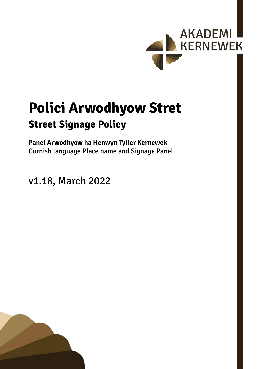

# **Polici Arwodhyow Stret Street Signage Policy**

**Panel Arwodhyow ha Henwyn Tyller Kernewek** Cornish language Place name and Signage Panel

v1.18, March 2022

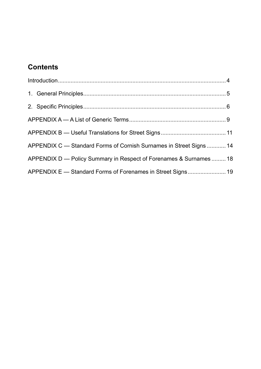# **Contents**

| APPENDIX C - Standard Forms of Cornish Surnames in Street Signs  14 |  |
|---------------------------------------------------------------------|--|
| APPENDIX D — Policy Summary in Respect of Forenames & Surnames  18  |  |
| APPENDIX E - Standard Forms of Forenames in Street Signs 19         |  |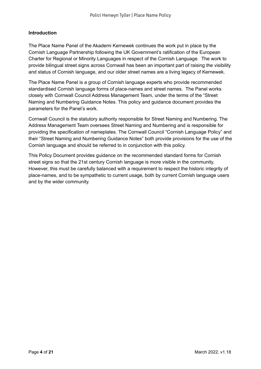#### <span id="page-3-0"></span>**Introduction**

The Place Name Panel of the Akademi Kernewek continues the work put in place by the Cornish Language Partnership following the UK Government's ratification of the European Charter for Regional or Minority Languages in respect of the Cornish Language. The work to provide bilingual street signs across Cornwall has been an important part of raising the visibility and status of Cornish language, and our older street names are a living legacy of Kernewek.

The Place Name Panel is a group of Cornish language experts who provide recommended standardised Cornish language forms of place-names and street names. The Panel works closely with Cornwall Council Address Management Team, under the terms of the "Street Naming and Numbering Guidance Notes. This policy and guidance document provides the parameters for the Panel's work.

Cornwall Council is the statutory authority responsible for Street Naming and Numbering. The Address Management Team oversees Street Naming and Numbering and is responsible for providing the specification of nameplates. The Cornwall Council "Cornish Language Policy" and their "Street Naming and Numbering Guidance Notes" both provide provisions for the use of the Cornish language and should be referred to in conjunction with this policy.

This Policy Document provides guidance on the recommended standard forms for Cornish street signs so that the 21st century Cornish language is more visible in the community. However, this must be carefully balanced with a requirement to respect the historic integrity of place-names, and to be sympathetic to current usage, both by current Cornish language users and by the wider community.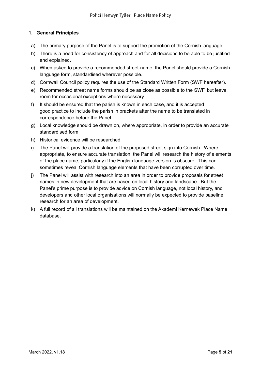#### <span id="page-4-0"></span>**1. General Principles**

- a) The primary purpose of the Panel is to support the promotion of the Cornish language.
- b) There is a need for consistency of approach and for all decisions to be able to be justified and explained.
- c) When asked to provide a recommended street-name, the Panel should provide a Cornish language form, standardised wherever possible.
- d) Cornwall Council policy requires the use of the Standard Written Form (SWF hereafter).
- e) Recommended street name forms should be as close as possible to the SWF, but leave room for occasional exceptions where necessary.
- f) It should be ensured that the parish is known in each case, and it is accepted good practice to include the parish in brackets after the name to be translated in correspondence before the Panel.
- g) Local knowledge should be drawn on, where appropriate, in order to provide an accurate standardised form.
- h) Historical evidence will be researched.
- i) The Panel will provide a translation of the proposed street sign into Cornish. Where appropriate, to ensure accurate translation, the Panel will research the history of elements of the place name, particularly if the English language version is obscure. This can sometimes reveal Cornish language elements that have been corrupted over time.
- j) The Panel will assist with research into an area in order to provide proposals for street names in new development that are based on local history and landscape. But the Panel's prime purpose is to provide advice on Cornish language, not local history, and developers and other local organisations will normally be expected to provide baseline research for an area of development.
- k) A full record of all translations will be maintained on the Akademi Kernewek Place Name database.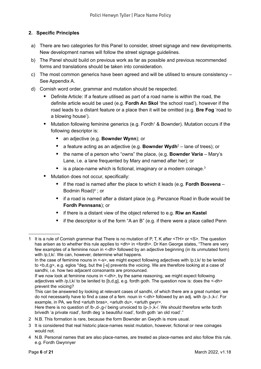#### <span id="page-5-0"></span>**2. Specific Principles**

- a) There are two categories for this Panel to consider, street signage and new developments. New development names will follow the street signage guidelines.
- b) The Panel should build on previous work as far as possible and previous recommended forms and translations should be taken into consideration.
- c) The most common generics have been agreed and will be utilised to ensure consistency See Appendix A.
- d) Cornish word order, grammar and mutation should be respected.
	- Definite Article: If <sup>a</sup> feature utilised as part of <sup>a</sup> road name is within the road, the definite article would be used (e.g. **Fordh An Skol** 'the school road'), however if the road leads to a distant feature or a place then it will be omitted (e.g. **Bre Fog** 'road to a blowing house').
	- Mutation following feminine generics (e.g. Fordh<sup>1</sup> & Bownder). Mutation occurs if the following descriptor is:
		- an adjective (e.g. **Bownder Wynn**); or
		- **•** a feature acting as an adjective (e.g. **Bownder Wydh**<sup>2</sup> lane of trees); or
		- the name of <sup>a</sup> person who "owns" the place, (e.g. **Bownder Varia** Mary's Lane, i.e. a lane frequented by Mary and named after her); or
		- $\bullet$  is a place-name which is fictional, imaginary or a modern coinage.<sup>3</sup>
	- Mutation does not occur, specifically:
		- if the road is named after the place to which it leads (e.g. **Fordh Bosvena** Bodmin Road)4 ; or
		- if a road is named after a distant place (e.g. Penzance Road in Bude would be **Fordh Pennsans**); or
		- if there is a distant view of the object referred to e.g. **Riw an Kastel**
		- if the descriptor is of the form "A an B" (e.g. if there were a place called Penn

- 2 N.B. This formation is rare, because the form Bownder an Gwydh is more usual.
- 3 It is considered that real historic place-names resist mutation, however, fictional or new coinages would not.

<sup>1</sup> It is a rule of Cornish grammar that There is no mutation of P, T, K after <TH> or <S>. The question has arisen as to whether this rule applies to <dh> in <fordh>. Dr Ken George states, "There are very few examples of a feminine noun in <-dh> followed by an adjective beginning (in its unmutated form) with /p,t,k/. We can, however, determine what happens.

In the case of feminine nouns in <-s>, we might expect following adjectives with /p,t,k/ to be lenited to **, e.g. eglos \*deg, but the [-s] prevents the voicing. We are therefore looking at a case of** sandhi, i.e. how two adjacent consonants are pronounced.

If we now look at feminine nouns in <-dh>, by the same reasoning, we might expect following adjectives with /p,t,k/ to be lenited to [b,d,g], e.g. fordh goth. The question now is: does the <-dh> prevent the voicing?

This can be answered by looking at relevant cases of sandhi, of which there are a great number; we do not necessarily have to find a case of a fem. noun in <-dh> followed by an adj. with /p-,t-,k-/. For example, in PA, we find <arluth bras>, <arluth du>, <arluth gwyr>.

Here there is no question of /b-,d-,g-/ being unvoiced to /p-,t-,k-/. We should therefore write fordh brivedh 'a private road', fordh deg 'a beautiful road', fordh goth 'an old road'."

<sup>4</sup> N.B. Personal names that are also place-names, are treated as place-names and also follow this rule. e.g. Fordh Gwynnyer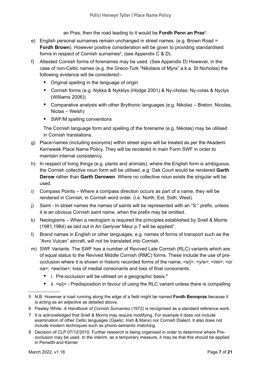an Pras, then the road leading to it would be **Fordh Penn an Pras**<sup>5</sup> .

- e) English personal surnames remain unchanged in street names. (e.g. Brown Road = **Fordh Brown**). However positive consideration will be given to providing standardised forms in respect of Cornish surnames $^6$ , (see Appendix C & D).
- f) Attested Cornish forms of forenames may be used. (See Appendix D) However, in the case of non-Celtic names (e.g. the Greco-Turk "Nikolaos of Myra" a.k.a. St Nicholas) the following evidence will be considered:-
	- Original spelling in the language of origin
	- Cornish forms (e.g. Nykka & Nykklys (Hodge 2001) & Ny-cholas; Ny-colas & Nyclys (Williams 2006))
	- Comparative analysis with other Brythonic languages (e.g. Nikolaz Breton; Nicolas, Niclas – Welsh)
	- SWF/M spelling conventions

The Cornish language form and spelling of the forename (e.g. Nikolas) may be utilised in Cornish translations.

- g) Place-names (including exonyms) within street signs will be treated as per the Akademi Kernewek Place Name Policy. They will be rendered in main Form SWF in order to maintain internal consistency.
- h) In respect of living things (e.g. plants and animals), where the English form is ambiguous, the Cornish collective noun form will be utilised, e.g. Oak Court would be rendered **Garth Derow** rather than **Garth Derowen**. Where no collective noun exists the singular will be used.
- i) Compass Points Where a compass direction occurs as part of a name, they will be rendered in Cornish, in Cornish word order. (i.e. North; Est; Soth; West).
- j) Saint In street names the names of saints will be represented with an "S." prefix, unless it is an obvious Cornish saint name, when the prefix may be omitted.
- k) Neologisms When a neologism is required the principles established by Snell & Morris (1981,1984) as laid out in An Gerlyver Meur p.7 will be applied<sup>7</sup>.
- l) Brand names in English or other languages, e.g. names of forms of transport such as the "Avro Vulcan" aircraft, will not be translated into Cornish.
- m) SWF Variants. The SWF has a number of Revived Late Cornish (RLC) variants which are of equal status to the Revived Middle Cornish (RMC) forms. These include the use of preocclusion where it is shown in historic recorded forms of the name;  $\langle s/|s\rangle$ ;  $\langle s/|e\rangle$ ;  $\langle s/|e\rangle$ ;  $\langle o/|e\rangle$ oa>; <ew/ow>; loss of medial consonants and loss of final consonants.
	- $\bullet$  i. Pre-occlusion will be utilised on a geographic basis.<sup>8</sup>
	- ii. <s/j> Predisposition in favour of using the RLC variant unless there is compelling
- 5 N.B. However a road running along the edge of a field might be named **Fordh Bennpras** because it is acting as an adjective as detailed above.
- 6 Pawley White: *A Handbook of Cornish Surnames* (1972) is recognised as a standard reference work.
- 7 It is acknowledged that Snell & Morris may require modifying. For example it does not include examination of other Celtic languages (Gaelic; Irish & Manx) nor Cornish Dialect. It also does not include modern techniques such as phono-semantic matching.
- 8 Decision of CLP 07/12/2010. Further research is being organised in order to determine where Preocclusion may be used. In the interim, as a temporary measure, it may be that this should be applied in Penwith and Kerrier.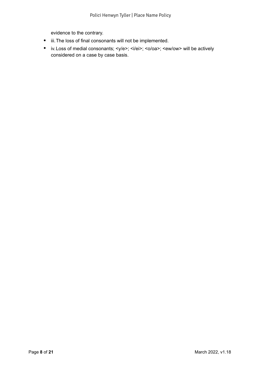evidence to the contrary.

- iii. The loss of final consonants will not be implemented.
- iv. Loss of medial consonants; <y/e>; <i/ei>; <o/oa>; <ew/ow> will be actively considered on a case by case basis.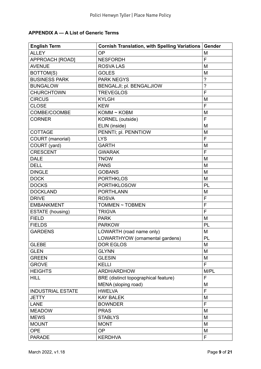### <span id="page-8-0"></span>**APPENDIX A — A List of Generic Terms**

| <b>English Term</b>      | Cornish Translation, with Spelling Variations | Gender                   |
|--------------------------|-----------------------------------------------|--------------------------|
| <b>ALLEY</b>             | <b>OP</b>                                     | M                        |
| APPROACH [ROAD]          | <b>NESFORDH</b>                               | F                        |
| <b>AVENUE</b>            | <b>ROSVALAS</b>                               | M                        |
| BOTTOM(S)                | <b>GOLES</b>                                  | M                        |
| <b>BUSINESS PARK</b>     | <b>PARK NEGYS</b>                             | $\overline{\phantom{0}}$ |
| <b>BUNGALOW</b>          | BENGALJI; pl. BENGALJIOW                      | $\overline{?}$           |
| <b>CHURCHTOWN</b>        | <b>TREVEGLOS</b>                              | F                        |
| <b>CIRCUS</b>            | <b>KYLGH</b>                                  | M                        |
| <b>CLOSE</b>             | <b>KEW</b>                                    | F                        |
| COMBE/COOMBE             | KOMM ~ KOBM                                   | M                        |
| <b>CORNER</b>            | KORNEL (outside)                              | F                        |
|                          | ELIN (inside)                                 | M                        |
| <b>COTTAGE</b>           | PENNTI; pl. PENNTIOW                          | M                        |
| COURT (manorial)         | <b>LYS</b>                                    | F                        |
| COURT (yard)             | <b>GARTH</b>                                  | M                        |
| <b>CRESCENT</b>          | <b>GWARAK</b>                                 | F                        |
| <b>DALE</b>              | <b>TNOW</b>                                   | M                        |
| <b>DELL</b>              | <b>PANS</b>                                   | M                        |
| <b>DINGLE</b>            | <b>GOBANS</b>                                 | M                        |
| <b>DOCK</b>              | <b>PORTHKLOS</b>                              | M                        |
| <b>DOCKS</b>             | <b>PORTHKLOSOW</b>                            | PL                       |
| <b>DOCKLAND</b>          | <b>PORTHLANN</b>                              | M                        |
| <b>DRIVE</b>             | <b>ROSVA</b>                                  | F                        |
| <b>EMBANKMENT</b>        | TOMMEN ~ TOBMEN                               | F                        |
| ESTATE (housing)         | <b>TRIGVA</b>                                 | F                        |
| <b>FIELD</b>             | <b>PARK</b>                                   | M                        |
| <b>FIELDS</b>            | <b>PARKOW</b>                                 | PL                       |
| <b>GARDENS</b>           | LOWARTH (road name only)                      | M                        |
|                          | LOWARTHYOW (ornamental gardens)               | PL                       |
| <b>GLEBE</b>             | <b>DOR EGLOS</b>                              | M                        |
| <b>GLEN</b>              | <b>GLYNN</b>                                  | M                        |
| <b>GREEN</b>             | <b>GLESIN</b>                                 | M                        |
| <b>GROVE</b>             | <b>KELLI</b>                                  | F                        |
| <b>HEIGHTS</b>           | ARDH/ARDHOW                                   | M/PL                     |
| <b>HILL</b>              | BRE (distinct topographical feature)          | F                        |
|                          | MENA (sloping road)                           | M                        |
| <b>INDUSTRIAL ESTATE</b> | <b>HWELVA</b>                                 | F                        |
| <b>JETTY</b>             | <b>KAY BALEK</b>                              | M                        |
| <b>LANE</b>              | <b>BOWNDER</b>                                | F                        |
| <b>MEADOW</b>            | <b>PRAS</b>                                   | M                        |
| <b>MEWS</b>              | <b>STABLYS</b>                                | M                        |
| <b>MOUNT</b>             | <b>MONT</b>                                   | M                        |
| <b>OPE</b>               | OP                                            | M                        |
| <b>PARADE</b>            | <b>KERDHVA</b>                                | F                        |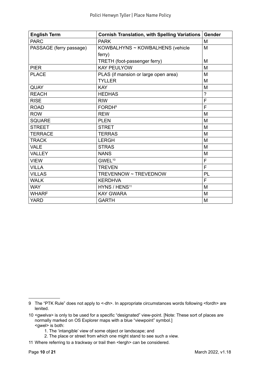| <b>English Term</b>     | <b>Cornish Translation, with Spelling Variations</b> | Gender         |
|-------------------------|------------------------------------------------------|----------------|
| <b>PARC</b>             | <b>PARK</b>                                          | M              |
| PASSAGE (ferry passage) | KOWBALHYNS ~ KOWBALHENS (vehicle                     | M              |
|                         | ferry)                                               |                |
|                         | TRETH (foot-passenger ferry)                         | M              |
| <b>PIER</b>             | <b>KAY PEULYOW</b>                                   | M              |
| <b>PLACE</b>            | PLAS (if mansion or large open area)                 | M              |
|                         | <b>TYLLER</b>                                        | M              |
| <b>QUAY</b>             | <b>KAY</b>                                           | M              |
| <b>REACH</b>            | <b>HEDHAS</b>                                        | $\overline{?}$ |
| <b>RISE</b>             | <b>RIW</b>                                           | F              |
| <b>ROAD</b>             | <b>FORDH<sup>9</sup></b>                             | F              |
| <b>ROW</b>              | <b>REW</b>                                           | M              |
| <b>SQUARE</b>           | <b>PLEN</b>                                          | M              |
| <b>STREET</b>           | <b>STRET</b>                                         | M              |
| <b>TERRACE</b>          | <b>TERRAS</b>                                        | M              |
| <b>TRACK</b>            | <b>LERGH</b>                                         | M              |
| <b>VALE</b>             | <b>STRAS</b>                                         | M              |
| <b>VALLEY</b>           | <b>NANS</b>                                          | M              |
| <b>VIEW</b>             | GWEL <sup>10</sup>                                   | F              |
| <b>VILLA</b>            | <b>TREVEN</b>                                        | F              |
| <b>VILLAS</b>           | TREVENNOW ~ TREVEDNOW                                | PL             |
| <b>WALK</b>             | <b>KERDHVA</b>                                       | F              |
| <b>WAY</b>              | HYNS / HENS <sup>11</sup>                            | M              |
| <b>WHARF</b>            | <b>KAY GWARA</b>                                     | M              |
| <b>YARD</b>             | <b>GARTH</b>                                         | M              |

- 1. The 'intangible' view of some object or landscape; and
- 2. The place or street from which one might stand to see such a view.
- 11 Where referring to a trackway or trail then <lergh> can be considered.

<sup>9</sup> The "PTK Rule" does not apply to <-dh>. In appropriate circumstances words following <fordh> are lenited.

<sup>10</sup> <gwelva> is only to be used for a specific "designated" view-point. [Note: These sort of places are normally marked on OS Explorer maps with a blue "viewpoint" symbol.] <gwel> is both: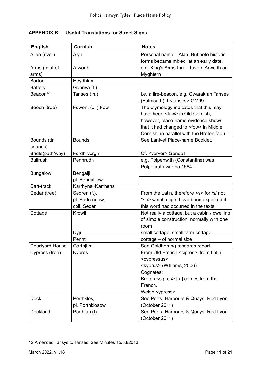#### <span id="page-10-0"></span>**APPENDIX B — Useful Translations for Street Signs**

| <b>English</b>         | <b>Cornish</b>    | <b>Notes</b>                                                                                                                                                                                                          |  |
|------------------------|-------------------|-----------------------------------------------------------------------------------------------------------------------------------------------------------------------------------------------------------------------|--|
| Allen (river)          | Alyn              | Personal name = Alan. But note historic                                                                                                                                                                               |  |
|                        |                   | forms became mixed at an early date.                                                                                                                                                                                  |  |
| Arms (coat of          | Arwodh            | e.g. King's Arms Inn = Tavern Arwodh an                                                                                                                                                                               |  |
| arms)                  |                   | Myghtern                                                                                                                                                                                                              |  |
| <b>Barton</b>          | Heydhlan          |                                                                                                                                                                                                                       |  |
| <b>Battery</b>         | Gonnva (f.)       |                                                                                                                                                                                                                       |  |
| Beacon <sup>12</sup>   | Tanses (m.)       | i.e. a fire-beacon. e.g. Gwarak an Tanses<br>(Falmouth) t <tanses> GM09.</tanses>                                                                                                                                     |  |
| Beech (tree)           | Fowen, (pl.) Fow  | The etymology indicates that this may<br>have been <faw> in Old Cornish,<br/>however, place-name evidence shows<br/>that it had changed to <fow> in Middle<br/>Cornish, in parallel with the Breton faou.</fow></faw> |  |
| Bounds (tin            | <b>Bounds</b>     | See Lanivet Place-name Booklet.                                                                                                                                                                                       |  |
| bounds)                |                   |                                                                                                                                                                                                                       |  |
| Bridle(path/way)       | Fordh-vergh       | Cf. <vorver> Gendall</vorver>                                                                                                                                                                                         |  |
| <b>Bullrush</b>        | Pennrudh          | e.g. Polpenwith (Constantine) was                                                                                                                                                                                     |  |
|                        |                   | Polpenruth wartha 1564.                                                                                                                                                                                               |  |
| <b>Bungalow</b>        | Bengalji          |                                                                                                                                                                                                                       |  |
|                        | pl. Bengaljiow    |                                                                                                                                                                                                                       |  |
| Cart-track             | Karrhyns~Karrhens |                                                                                                                                                                                                                       |  |
| Cedar (tree)           | Sedren (f.),      | From the Latin, therefore <s> for /s/ not</s>                                                                                                                                                                         |  |
|                        | pl. Sedrennow,    | * <c> which might have been expected if</c>                                                                                                                                                                           |  |
|                        | coll. Seder       | this word had occurred in the texts.                                                                                                                                                                                  |  |
| Cottage                | Krowji            | Not really a cottage, but a cabin / dwelling<br>of simple construction, normally with one<br>room                                                                                                                     |  |
|                        | Dyji              | small cottage, small farm cottage                                                                                                                                                                                     |  |
|                        | Pennti            | cottage - of normal size                                                                                                                                                                                              |  |
| <b>Courtyard House</b> | Garthji m.        | See Goldherring research report.                                                                                                                                                                                      |  |
| Cypress (tree)         | <b>Kypres</b>     | From Old French <cipres>, from Latin<br/><cypressus></cypressus></cipres>                                                                                                                                             |  |
|                        |                   | <kyprus> (Williams, 2006)</kyprus>                                                                                                                                                                                    |  |
|                        |                   | Cognates:                                                                                                                                                                                                             |  |
|                        |                   | Breton <sipres> [s-] comes from the</sipres>                                                                                                                                                                          |  |
|                        |                   | French.                                                                                                                                                                                                               |  |
|                        |                   | Welsh <ypress></ypress>                                                                                                                                                                                               |  |
| <b>Dock</b>            | Porthklos,        | See Ports, Harbours & Quays, Rod Lyon                                                                                                                                                                                 |  |
|                        | pl. Porthklosow   | (October 2011)                                                                                                                                                                                                        |  |
| Dockland               | Porthlan (f)      | See Ports, Harbours & Quays, Rod Lyon<br>(October 2011)                                                                                                                                                               |  |

<sup>12</sup> Amended Tansys to Tanses. See Minutes 15/03/2013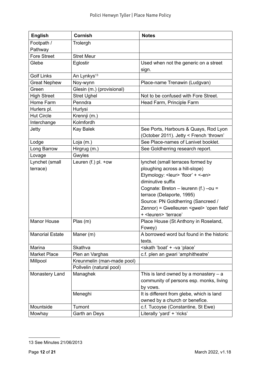| <b>English</b>         | <b>Cornish</b>                               | <b>Notes</b>                                                                     |
|------------------------|----------------------------------------------|----------------------------------------------------------------------------------|
| Footpath /             | Trolergh                                     |                                                                                  |
| Pathway                |                                              |                                                                                  |
| <b>Fore Street</b>     | <b>Stret Meur</b>                            |                                                                                  |
| Glebe                  | Eglostir                                     | Used when not the generic on a street                                            |
|                        |                                              | sign.                                                                            |
| <b>Golf Links</b>      | An Lynkys <sup>13</sup>                      |                                                                                  |
| <b>Great Nephew</b>    | Noy-wynn                                     | Place-name Trenawin (Ludgvan)                                                    |
| Green                  | Glesin (m.) (provisional)                    |                                                                                  |
| <b>High Street</b>     | <b>Stret Ughel</b>                           | Not to be confused with Fore Street.                                             |
| Home Farm              | Penndra                                      | Head Farm, Principle Farm                                                        |
| Hurlers pl.            | Hurlysi                                      |                                                                                  |
| <b>Hut Circle</b>      | Krennji (m.)                                 |                                                                                  |
| Interchange            | Kolmfordh                                    |                                                                                  |
| Jetty                  | Kay Balek                                    | See Ports, Harbours & Quays, Rod Lyon<br>(October 2011). Jetty < French 'thrown' |
| Lodge                  | Loja (m.)                                    | See Place-names of Lanivet booklet.                                              |
| Long Barrow            | Hirgrug (m.)                                 | See Goldherring research report.                                                 |
| Lovage                 | Gwyles                                       |                                                                                  |
| Lynchet (small         | Leuren (f.) pl. +ow                          | lynchet (small terraces formed by                                                |
| terrace)               |                                              | ploughing across a hill-slope)                                                   |
|                        |                                              | Etymology: <leur> 'floor' + &lt;- en&gt;</leur>                                  |
|                        |                                              | diminutive suffix                                                                |
|                        |                                              | Cognate: Breton - leurenn (f.) -ou =                                             |
|                        |                                              | terrace (Delaporte, 1995)                                                        |
|                        |                                              | Source: PN Goldherring (Sancreed /                                               |
|                        |                                              | Zennor) = Gwelleuren <gwel> 'open field'</gwel>                                  |
|                        |                                              | + <leuren> 'terrace'</leuren>                                                    |
| <b>Manor House</b>     | Plas(m)                                      | Place House (St Anthony in Roseland,                                             |
|                        |                                              | Fowey)                                                                           |
| <b>Manorial Estate</b> | Maner (m)                                    | A borrowed word but found in the historic                                        |
|                        |                                              | texts.                                                                           |
| Marina                 | Skathva                                      | <skath 'boat'="" 'place'<="" +="" -va="" td=""></skath>                          |
| <b>Market Place</b>    | Plen an Varghas                              | c.f. plen an gwari 'amphitheatre'                                                |
| Millpool               | Kreunmelin (man-made pool)                   |                                                                                  |
|                        | Pollvelin (natural pool)                     |                                                                                  |
| Monastery Land         | Managhek                                     | This is land owned by a monastery $-$ a                                          |
|                        |                                              | community of persons esp. monks, living                                          |
|                        |                                              | by vows.                                                                         |
|                        | Meneghi                                      | It is different from glebe, which is land                                        |
|                        |                                              | owned by a church or benefice.                                                   |
| Mountside              | c.f. Tucoyse (Constantine, St Ewe)<br>Tumont |                                                                                  |
| Mowhay                 | Garth an Deys                                | Literally 'yard' + 'ricks'                                                       |

<sup>13</sup> See Minutes 21/06/2013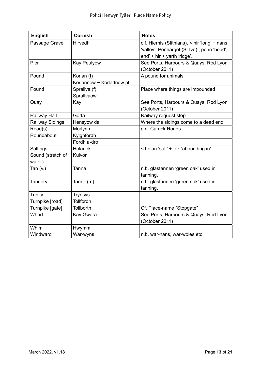| <b>English</b>         | <b>Cornish</b>            | <b>Notes</b>                                  |
|------------------------|---------------------------|-----------------------------------------------|
| Passage Grave          | <b>Hirvedh</b>            | c.f. Hiernis (Stithians), < hir 'long' + nans |
|                        |                           | 'valley', Penharget (St Ive), penn 'head',    |
|                        |                           | end' + hir + yarth 'ridge'.                   |
| Pier                   | <b>Kay Peulyow</b>        | See Ports, Harbours & Quays, Rod Lyon         |
|                        |                           | (October 2011)                                |
| Pound                  | Korlan (f)                | A pound for animals                           |
|                        | Korlannow ~ Korladnow pl. |                                               |
| Pound                  | Sprallva (f)              | Place where things are impounded              |
|                        | Sprallvaow                |                                               |
| Quay                   | Kay                       | See Ports, Harbours & Quays, Rod Lyon         |
|                        |                           | (October 2011)                                |
| Railway Halt           | Gorta                     | Railway request stop                          |
| <b>Railway Sidings</b> | Hensyow dall              | Where the sidings come to a dead end.         |
| Road(s)                | Morlynn                   | e.g. Carrick Roads                            |
| Roundabout             | Kylghfordh                |                                               |
|                        | Fordh a-dro               |                                               |
| Saltings               | Holanek                   | < holan 'salt' + -ek 'abounding in'           |
| Sound (stretch of      | Kulvor                    |                                               |
| water)                 |                           |                                               |
| Tan $(v.)$             | Tanna                     | n.b. glastannen 'green oak' used in           |
|                        |                           | tanning.                                      |
| Tannery                | Tannji (m)                | n.b. glastannen 'green oak' used in           |
|                        |                           | tanning.                                      |
| <b>Trinity</b>         | <b>Trynsys</b>            |                                               |
| Turnpike [road]        | Tollfordh                 |                                               |
| Turnpike [gate]        | <b>Tollborth</b>          | Cf. Place-name "Stopgate"                     |
| Wharf                  | Kay Gwara                 | See Ports, Harbours & Quays, Rod Lyon         |
|                        |                           | (October 2011)                                |
| Whim                   | Hwymm                     |                                               |
| Windward               | War-wyns                  | n.b. war-nans, war-woles etc.                 |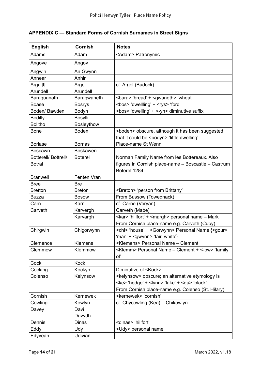<span id="page-13-0"></span>

| <b>APPENDIX C — Standard Forms of Cornish Surnames in Street Signs</b> |
|------------------------------------------------------------------------|
|                                                                        |

| <b>English</b>              | <b>Cornish</b>    | <b>Notes</b>                                                           |  |
|-----------------------------|-------------------|------------------------------------------------------------------------|--|
| <b>Adams</b>                | Adam              | <adam> Patronymic</adam>                                               |  |
| Angove                      | Angov             |                                                                        |  |
| Angwin                      | An Gwynn          |                                                                        |  |
| Annear                      | Anhir             |                                                                        |  |
| Argal[l]                    | Argel             | cf. Argel (Budock)                                                     |  |
| Arundell                    | Arundell          |                                                                        |  |
| Baraguanath                 | Baragwaneth       | <bara> 'bread' + <gwaneth> 'wheat'</gwaneth></bara>                    |  |
| <b>Boase</b>                | <b>Bosrys</b>     | <bos> 'dwellling' + <rys> 'ford'</rys></bos>                           |  |
| Boden/ Bawden               | Bodyn             | <bos> 'dwelling' + &lt;-yn&gt; diminutive suffix</bos>                 |  |
| <b>Bodilly</b>              | Bosylli           |                                                                        |  |
| <b>Bolitho</b>              | <b>Bosleythow</b> |                                                                        |  |
| <b>Bone</b>                 | <b>Boden</b>      | <boden> obscure, although it has been suggested</boden>                |  |
|                             |                   | that it could be <bodyn> 'little dwelling'</bodyn>                     |  |
| <b>Borlase</b>              | <b>Borrlas</b>    | Place-name St Wenn                                                     |  |
| <b>Boscawn</b>              | <b>Boskawen</b>   |                                                                        |  |
| <b>Botterell/ Bottrell/</b> | <b>Boterel</b>    | Norman Family Name from les Bottereaux. Also                           |  |
| <b>Botral</b>               |                   | figures in Cornish place-name - Boscastle - Castrum                    |  |
|                             |                   | Boterel 1284                                                           |  |
| <b>Branwell</b>             | Fenten Vran       |                                                                        |  |
| <b>Bree</b>                 | <b>Bre</b>        |                                                                        |  |
| <b>Bretton</b>              | <b>Breton</b>     | <breton> 'person from Brittany'</breton>                               |  |
| Buzza                       | <b>Bosow</b>      | From Bussow (Towednack)                                                |  |
| Carn                        | Karn              | cf. Carne (Veryan)                                                     |  |
| Carveth                     | Karvergh          | Carveth (Mabe)                                                         |  |
|                             | Karvargh          | <kar> 'hillfort' + <margh> personal name - Mark</margh></kar>          |  |
|                             |                   | From Cornish place-name e.g. Carveth (Cuby)                            |  |
| Chirgwin                    | Chigorwynn        | <chi> 'house' + <gorwynn> Personal Name {<gour></gour></gorwynn></chi> |  |
|                             |                   | 'man' + <gwynn> 'fair, white'}</gwynn>                                 |  |
| Clemence                    | <b>Klemens</b>    | <klemens> Personal Name - Clement</klemens>                            |  |
| Clemmow                     | Klemmow           | <klemm> Personal Name - Clement + &lt;- ow&gt; 'family</klemm>         |  |
|                             |                   | of'                                                                    |  |
| Cock                        | <b>Kock</b>       |                                                                        |  |
| Cocking                     | Kockyn            | Diminutive of <kock></kock>                                            |  |
| Colenso                     | Kelynsow          | <kelynsow> obscure; an alternative etymology is</kelynsow>             |  |
|                             |                   | <ke> 'hedge' + <lynn> 'lake' + <du> 'black'</du></lynn></ke>           |  |
|                             |                   | From Cornish place-name e.g. Colenso (St. Hilary)                      |  |
| Cornish                     | Kernewek          | <kernewek> 'cornish'</kernewek>                                        |  |
| Cowling                     | Kowlyn            | cf. Chycowling (Kea) = Chikowlyn                                       |  |
| Davey                       | Davi              |                                                                        |  |
|                             | Davydh            |                                                                        |  |
| Dennis                      | <b>Dinas</b>      | <dinas> 'hillfort'</dinas>                                             |  |
| Eddy                        | Udy               | <udy> personal name</udy>                                              |  |
| Edyvean                     | Udivian           |                                                                        |  |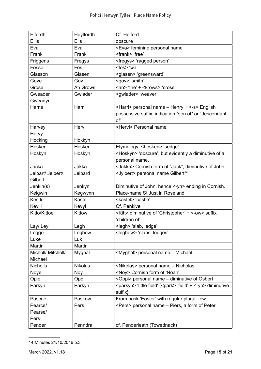| Elfordh            | Heylfordh      | Cf. Helford                                                                      |  |
|--------------------|----------------|----------------------------------------------------------------------------------|--|
| <b>Ellis</b>       | <b>Elis</b>    | obscure                                                                          |  |
| Eva                | Eva            | <eva> feminine personal name</eva>                                               |  |
| Frank              | Frank          | <frank> 'free'</frank>                                                           |  |
| Friggens           | Fregys         | <fregys> 'ragged person'</fregys>                                                |  |
| Fosse              | Fos            | <fos> 'wall'</fos>                                                               |  |
| Glasson            | Glasen         | <glasen> 'greensward'</glasen>                                                   |  |
| Gove               | Gov            | <gov> 'smith'</gov>                                                              |  |
| Grose              | An Grows       | <an> 'the' + <krows> 'cross'</krows></an>                                        |  |
| Gweader            | Gwiader        | <gwiader> 'weaver'</gwiader>                                                     |  |
| Gweadyr            |                |                                                                                  |  |
| <b>Harris</b>      | Harri          | <harri> personal name - Henry + &lt;-s&gt; English</harri>                       |  |
|                    |                | possessive suffix, indication "son of" or "descendant                            |  |
|                    |                | of"                                                                              |  |
| Harvey             | Hervi          | <hervi> Personal name</hervi>                                                    |  |
| Hervy              |                |                                                                                  |  |
| Hocking            | Hokkyn         |                                                                                  |  |
| Hosken             | Hesken         | Etymology: <hesken> 'sedge'</hesken>                                             |  |
| Hoskyn             | Hoskyn         | <hoskyn> 'obscure', but evidently a diminutive of a</hoskyn>                     |  |
|                    |                | personal name.                                                                   |  |
| Jacka              | Jakka          | <jakka> Cornish form of "Jack", diminutive of John.</jakka>                      |  |
| Jelbart/ Jelbert/  | Jelbard        | <jylbert> personal name Gilbert<sup>14</sup></jylbert>                           |  |
| Gilbert            |                |                                                                                  |  |
| Jenkin(s)          | Jenkyn         | Diminutive of John, hence <- yn > ending in Cornish.                             |  |
| Keigwin            | Kegwynn        | Place-name St Just in Roseland                                                   |  |
| Kestle             | Kastel         | <kastel> 'castle'</kastel>                                                       |  |
| Kevill             | Kevyl          | Cf. Penkivel                                                                     |  |
| Kitto/Kittoe       | Kittow         | <kitt> diminutive of 'Christopher' + &lt;-ow&gt; suffix</kitt>                   |  |
|                    |                | 'children of'                                                                    |  |
| Lay/ Ley           | Legh           | <legh> 'slab, ledge'</legh>                                                      |  |
| Leggo              | Leghow         | <leghow> 'slabs, ledges'</leghow>                                                |  |
| Luke               | Luk            |                                                                                  |  |
| Martin             | Martin         |                                                                                  |  |
| Michell/ Mitchell/ | Myghal         | <myghal> personal name - Michael</myghal>                                        |  |
| Michael            |                |                                                                                  |  |
| <b>Nicholls</b>    | <b>Nikolas</b> | <nikolas> personal name - Nicholas</nikolas>                                     |  |
| Noye               | <b>Noy</b>     | <noy> Cornish form of 'Noah'</noy>                                               |  |
| Opie               | Oppi           | <oppi> personal name - diminutive of Osbert</oppi>                               |  |
| Parkyn             | Parkyn         | <parkyn> 'little field' {<park> 'field' + &lt;-yn&gt; diminutive</park></parkyn> |  |
|                    |                | suffix}                                                                          |  |
| Pascoe             | Paskow         | From pask 'Easter' with regular plural, -ow                                      |  |
| Pearce/            | Pers           | <pers> personal name - Piers, a form of Peter</pers>                             |  |
| Pearse/            |                |                                                                                  |  |
| Pers               |                |                                                                                  |  |
| Pender             | Penndra        | cf. Penderleath (Towednack)                                                      |  |

<sup>14</sup> Minutes 21/10/2016 p.3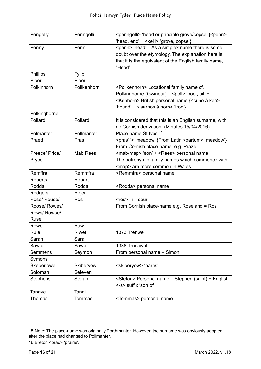| Pengelly        | Penngelli       | <penngelli> 'head or principle grove/copse' {<penn></penn></penngelli>       |  |
|-----------------|-----------------|------------------------------------------------------------------------------|--|
|                 |                 | 'head, end' + < kelli > 'grove, copse'}                                      |  |
| Penny           | Penn            | <penn> 'head' - As a simplex name there is some</penn>                       |  |
|                 |                 | doubt over the etymology. The explanation here is                            |  |
|                 |                 | that it is the equivalent of the English family name,                        |  |
|                 |                 | "Head".                                                                      |  |
| Phillips        | Fylip           |                                                                              |  |
| Piper           | Piber           |                                                                              |  |
| Polkinhorn      | Pollkenhorn     | <pollkenhorn> Locational family name cf.</pollkenhorn>                       |  |
|                 |                 |                                                                              |  |
|                 |                 | Polkinghorne (Gwinear) = <poll> 'pool, pit' +</poll>                         |  |
|                 |                 | <kenhorn> British personal name {<cuno ken="" à=""></cuno></kenhorn>         |  |
|                 |                 | 'hound' + <isarnos horn="" à=""> 'iron'}</isarnos>                           |  |
| Polkinghorne    |                 |                                                                              |  |
| Pollard         | Pollard         | It is considered that this is an English surname, with                       |  |
|                 |                 | no Cornish derivation. (Minutes 15/04/2016)                                  |  |
| Polmanter       | Pollmanter      | Place-name St Ives. <sup>15</sup>                                            |  |
| Praed           | Pras            | <pras<sup>16&gt; 'meadow' {From Latin <partum> 'meadow'}</partum></pras<sup> |  |
|                 |                 | From Cornish place-name: e.g. Praze                                          |  |
| Preece/ Price/  | <b>Mab Rees</b> | <mab map=""> 'son' + <rees> personal name</rees></mab>                       |  |
| Pryce           |                 | The patronymic family names which commence with                              |  |
|                 |                 | <map> are more common in Wales.</map>                                        |  |
| Remffra         | Remmfra         | <remmfra> personal name</remmfra>                                            |  |
| <b>Roberts</b>  | Robart          |                                                                              |  |
| Rodda           | Rodda           | <rodda> personal name</rodda>                                                |  |
| Rodgers         | Rojer           |                                                                              |  |
| Rose/ Rouse/    | Ros             | <ros> 'hill-spur'</ros>                                                      |  |
| Roose/ Rowes/   |                 | From Cornish place-name e.g. Roseland = Ros                                  |  |
| Rows/ Rowse/    |                 |                                                                              |  |
| Ruse            |                 |                                                                              |  |
| Rowe            | Raw             |                                                                              |  |
| Rule            | Riwel           | 1373 Treriwel                                                                |  |
| Sarah           | Sara            |                                                                              |  |
| Sawle           | Sawel           | 1338 Tresawel                                                                |  |
| <b>Semmens</b>  | Seymon          | From personal name - Simon                                                   |  |
| Symons          |                 |                                                                              |  |
| Skeberiowe      | Skiberyow       | <skiberyow> 'barns'</skiberyow>                                              |  |
| Soloman         | Seleven         |                                                                              |  |
| <b>Stephens</b> | <b>Stefan</b>   | <stefan> Personal name - Stephen (saint) + English</stefan>                  |  |
|                 |                 | <-s> suffix 'son of'                                                         |  |
| Tangye          | Tangi           |                                                                              |  |
| Thomas          | Tommas          | <tommas> personal name</tommas>                                              |  |

<sup>15</sup> Note: The place-name was originally Porthmanter. However, the surname was obviously adopted after the place had changed to Pollmanter.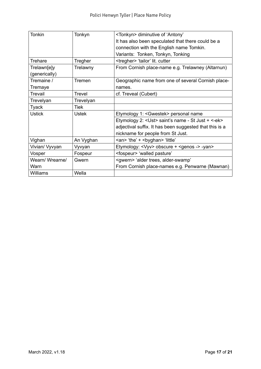| <b>Tonkin</b>  | Tonkyn        | <tonkyn> diminutive of 'Antony'</tonkyn>                       |  |
|----------------|---------------|----------------------------------------------------------------|--|
|                |               | It has also been speculated that there could be a              |  |
|                |               | connection with the English name Tomkin.                       |  |
|                |               | Variants: Tonken, Tonkyn, Tonking                              |  |
| Trehare        | Tregher       | <tregher> 'tailor' lit. cutter</tregher>                       |  |
| Trelawn[e]y    | Trelawny      | From Cornish place-name e.g. Trelawney (Altarnun)              |  |
| (generically)  |               |                                                                |  |
| Tremaine /     | Tremen        | Geographic name from one of several Cornish place-             |  |
| Tremaye        |               | names.                                                         |  |
| <b>Trevail</b> | <b>Trevel</b> | cf. Treveal (Cubert)                                           |  |
| Trevelyan      | Trevelyan     |                                                                |  |
| <b>Tyack</b>   | <b>Tiek</b>   |                                                                |  |
| <b>Ustick</b>  | <b>Ustek</b>  | Etymology 1: <gwestek> personal name</gwestek>                 |  |
|                |               | Etymology 2: <ust> saint's name - St Just + &lt;-ek&gt;</ust>  |  |
|                |               | adjectival suffix. It has been suggested that this is a        |  |
|                |               | nickname for people from St Just.                              |  |
| Vighan         | An Vyghan     | <an> 'the' + <byghan> 'little'</byghan></an>                   |  |
| Vivian/ Vyvyan | Vyvyan        | Etymology: <vyv> obscure + <genos -=""> -yan&gt;</genos></vyv> |  |
| Vosper         | Fospeur       | <fospeur> 'walled pasture'</fospeur>                           |  |
| Wearn/Wrearne/ | Gwern         | <gwern> 'alder trees, alder-swamp'</gwern>                     |  |
| Warn           |               | From Cornish place-names e.g. Penwarne (Mawnan)                |  |
| Williams       | Wella         |                                                                |  |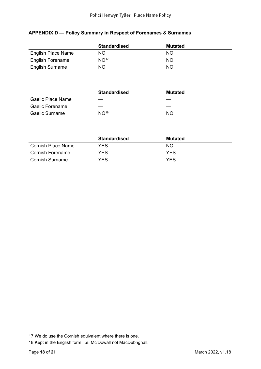#### <span id="page-17-0"></span>**APPENDIX D — Policy Summary in Respect of Forenames & Surnames**

|                         | <b>Standardised</b> | <b>Mutated</b> |
|-------------------------|---------------------|----------------|
| English Place Name      | NO.                 | <b>NO</b>      |
| <b>English Forename</b> | NO <sup>17</sup>    | NO.            |
| <b>English Surname</b>  | <b>NO</b>           | NO.            |

|                   | <b>Standardised</b> | <b>Mutated</b> |
|-------------------|---------------------|----------------|
| Gaelic Place Name | –                   |                |
| Gaelic Forename   |                     |                |
| Gaelic Surname    | NO <sup>18</sup>    | <b>NO</b>      |

|                    | <b>Standardised</b> | <b>Mutated</b> |
|--------------------|---------------------|----------------|
| Cornish Place Name | YFS.                | NO.            |
| Cornish Forename   | YFS.                | YFS.           |
| Cornish Surname    | YES.                | YFS            |

<sup>17</sup> We do use the Cornish equivalent where there is one.

<sup>18</sup> Kept in the English form, i.e. Mc'Dowall not MacDubhghall.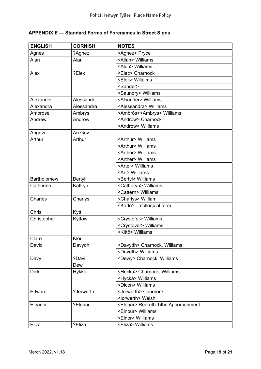## <span id="page-18-0"></span>**APPENDIX E — Standard Forms of Forenames in Street Signs**

| <b>ENGLISH</b>     | <b>CORNISH</b> | <b>NOTES</b>                                  |
|--------------------|----------------|-----------------------------------------------|
| Agnes              | ?Agnez         | <agnez> Pryce</agnez>                         |
| Alan               | Alan           | <allan> Williams</allan>                      |
|                    |                | <alün> Williams</alün>                        |
| Alex               | ?Elek          | <elec> Charnock</elec>                        |
|                    |                | <elek> Willaims</elek>                        |
|                    |                | <sander></sander>                             |
|                    |                | <saundry> Williams</saundry>                  |
| Alexander          | Alessander     | <alsander> Williams</alsander>                |
| Alexandra          | Alessandra     | <alessandra> Williams</alessandra>            |
| Ambrose            | Ambrys         | <ambrōs><ambrys> Williams</ambrys></ambrōs>   |
| Andrew             | Androw         | <androw> Charnock</androw>                    |
|                    |                | <androw> Williams</androw>                    |
| Angove             | An Gov         |                                               |
| Arthur             | Arthur         | <arthür> Williams</arthür>                    |
|                    |                | <arthur> Williams</arthur>                    |
|                    |                | <arthor> Williams</arthor>                    |
|                    |                | <arther> Williams</arther>                    |
|                    |                | <arter> Williams</arter>                      |
|                    |                | <art> Williams</art>                          |
| <b>Bartholomew</b> | Bertyl         | <bertyl> Williams</bertyl>                    |
| Catherine          | Kattryn        | <catheryn> Williams</catheryn>                |
|                    |                | <cattern> Williams</cattern>                  |
| Charles            | Charlys        | <charlys> William</charlys>                   |
|                    |                | <karlo> = colloquial form</karlo>             |
| Chris              | Kytt           |                                               |
| Christopher        | Kyttow         | <crystofer> Williams</crystofer>              |
|                    |                | <crystover> Williams</crystover>              |
|                    |                | <kittō> Williams</kittō>                      |
| Clare              | Kler           |                                               |
| David              | Davydh         | <davydh> Charnock, Williams</davydh>          |
|                    |                | <daveth> Williams</daveth>                    |
| Davy               | ?Davi          | <dewy> Charnock, Williams</dewy>              |
|                    | Dewi           |                                               |
| <b>Dick</b>        | Hykka          | <hecka> Charnock, Williams</hecka>            |
|                    |                | <hycka> Williams</hycka>                      |
|                    |                | <dicon> Williams</dicon>                      |
| Edward             | ?Jorwerth      | <jorwerth> Charnock</jorwerth>                |
|                    |                | <lorwerth> Welsh</lorwerth>                   |
| Eleanor            | ?Elonar        | <elonar> Redruth Tithe Apportionment</elonar> |
|                    |                | <elnour> Williams</elnour>                    |
|                    |                | <elnor> Williams</elnor>                      |
| Eliza              | ?Eliza         | <eliza> Williams</eliza>                      |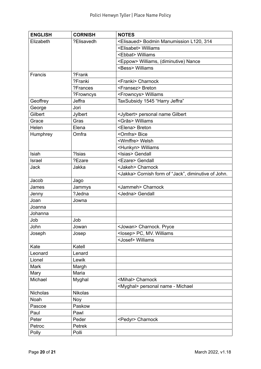| <b>ENGLISH</b> | <b>CORNISH</b> | <b>NOTES</b>                                                |
|----------------|----------------|-------------------------------------------------------------|
| Elizabeth      | ?Elisavedh     | <elisaued> Bodmin Manumission L120, 314</elisaued>          |
|                |                | <elisabet> Williams</elisabet>                              |
|                |                | <ebbat> Williams</ebbat>                                    |
|                |                | <eppow> Williams, (diminutive) Nance</eppow>                |
|                |                | <bess> Williams</bess>                                      |
| Francis        | ?Frank         |                                                             |
|                | ?Franki        | <franki> Charnock</franki>                                  |
|                | ?Frances       | <fransez> Breton</fransez>                                  |
|                | ?Frowncys      | <frowncys> Williams</frowncys>                              |
| Geoffrey       | Jeffra         | TaxSubsidy 1545 "Harry Jeffra"                              |
| George         | Jori           |                                                             |
| Gilbert        | Jylbert        | <jylbert> personal name Gilbert</jylbert>                   |
| Grace          | Gras           | <grās> Williams</grās>                                      |
| Helen          | Elena          | <elena> Breton</elena>                                      |
| Humphrey       | Omfra          | <omfra> Bice</omfra>                                        |
|                |                | <wmffre> Welsh</wmffre>                                     |
|                |                | <hunkyn> Williams</hunkyn>                                  |
| Isiah          | ?Isias         | <isias> Gendall</isias>                                     |
| Israel         | ?Ezare         | <ezare> Gendall</ezare>                                     |
| <b>Jack</b>    | Jakka          | <jakeh> Charnock</jakeh>                                    |
|                |                | <jakka> Cornish form of "Jack", diminutive of John.</jakka> |
| Jacob          | Jago           |                                                             |
| James          | Jammys         | <jammeh> Charnock</jammeh>                                  |
| Jenny          | ?Jedna         | <jedna> Gendall</jedna>                                     |
| Joan           | Jowna          |                                                             |
| Joanna         |                |                                                             |
| Johanna        |                |                                                             |
| Job            | Job            |                                                             |
| John           | Jowan          | <jowan> Charnock. Pryce</jowan>                             |
| Joseph         | Josep          | <losep> PC, MV. Williams</losep>                            |
|                |                | <josef> Williams</josef>                                    |
| Kate           | Katell         |                                                             |
| Leonard        | Lenard         |                                                             |
| Lionel         | Lewik          |                                                             |
| Mark           | Margh          |                                                             |
| Mary           | Maria          |                                                             |
| Michael        | Myghal         | <mihal> Charnock</mihal>                                    |
|                |                | <myghal> personal name - Michael</myghal>                   |
| Nicholas       | <b>Nikolas</b> |                                                             |
| Noah           | Noy            |                                                             |
| Pascoe         | Paskow         |                                                             |
| Paul           | Pawl           |                                                             |
| Peter          | Peder          | <pedyr> Charnock</pedyr>                                    |
| Petroc         | Petrek         |                                                             |
| Polly          | Polli          |                                                             |